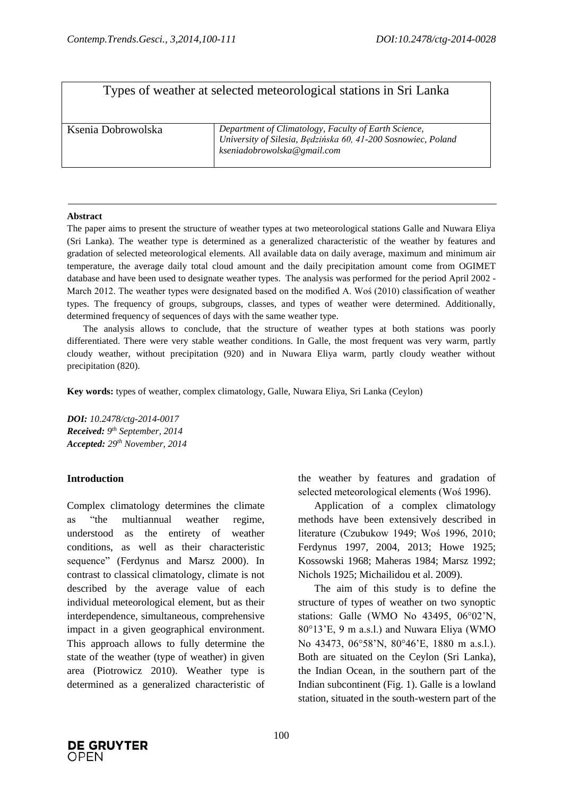# Types of weather at selected meteorological stations in Sri Lanka

| Ksenia Dobrowolska | Department of Climatology, Faculty of Earth Science,<br>University of Silesia, Będzińska 60, 41-200 Sosnowiec, Poland<br>kseniadobrowolska@gmail.com |
|--------------------|------------------------------------------------------------------------------------------------------------------------------------------------------|

#### **Abstract**

The paper aims to present the structure of weather types at two meteorological stations Galle and Nuwara Eliya (Sri Lanka). The weather type is determined as a generalized characteristic of the weather by features and gradation of selected meteorological elements. All available data on daily average, maximum and minimum air temperature, the average daily total cloud amount and the daily precipitation amount come from OGIMET database and have been used to designate weather types. The analysis was performed for the period April 2002 - March 2012. The weather types were designated based on the modified A. Woś (2010) classification of weather types. The frequency of groups, subgroups, classes, and types of weather were determined. Additionally, determined frequency of sequences of days with the same weather type.

The analysis allows to conclude, that the structure of weather types at both stations was poorly differentiated. There were very stable weather conditions. In Galle, the most frequent was very warm, partly cloudy weather, without precipitation (920) and in Nuwara Eliya warm, partly cloudy weather without precipitation (820).

**Key words:** types of weather, complex climatology, Galle, Nuwara Eliya, Sri Lanka (Ceylon)

*DOI: 10.2478/ctg-2014-0017 Received: 9 th September, 2014 Accepted: 29th November, 2014*

### **Introduction**

Complex climatology determines the climate as "the multiannual weather regime, understood as the entirety of weather conditions, as well as their characteristic sequence" (Ferdynus and Marsz 2000). In contrast to classical climatology, climate is not described by the average value of each individual meteorological element, but as their interdependence, simultaneous, comprehensive impact in a given geographical environment. This approach allows to fully determine the state of the weather (type of weather) in given area (Piotrowicz 2010). Weather type is determined as a generalized characteristic of the weather by features and gradation of selected meteorological elements (Woś 1996).

Application of a complex climatology methods have been extensively described in literature (Czubukow 1949; Woś 1996, 2010; Ferdynus 1997, 2004, 2013; Howe 1925; Kossowski 1968; Maheras 1984; Marsz 1992; Nichols 1925; Michailidou et al. 2009).

The aim of this study is to define the structure of types of weather on two synoptic stations: Galle (WMO No 43495, 06°02'N, 80°13'E, 9 m a.s.l.) and Nuwara Eliya (WMO No 43473, 06°58'N, 80°46'E, 1880 m a.s.l.). Both are situated on the Ceylon (Sri Lanka), the Indian Ocean, in the southern part of the Indian subcontinent (Fig. 1). Galle is a lowland station, situated in the south-western part of the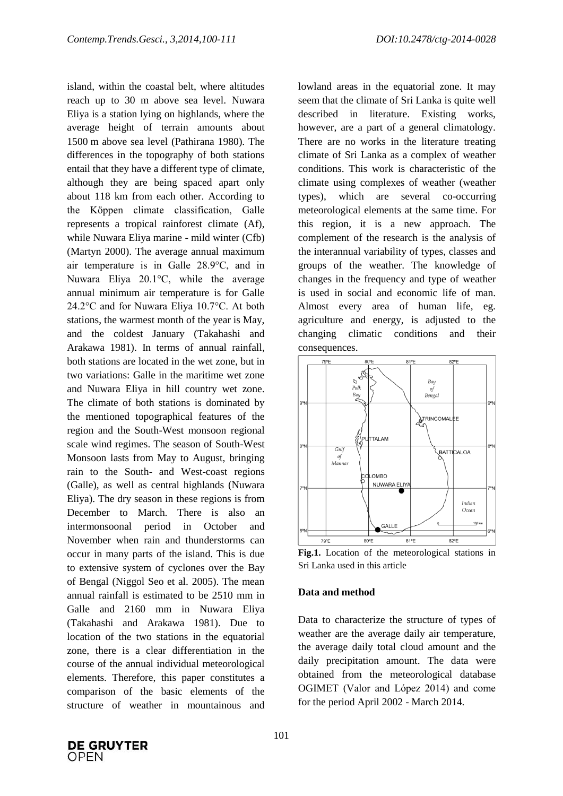island, within the coastal belt, where altitudes reach up to 30 m above sea level. Nuwara Eliya is a station lying on highlands, where the average height of terrain amounts about 1500 m above sea level (Pathirana 1980). The differences in the topography of both stations entail that they have a different type of climate, although they are being spaced apart only about 118 km from each other. According to the Köppen climate classification, Galle represents a tropical rainforest climate (Af), while Nuwara Eliya marine - mild winter (Cfb) (Martyn 2000). The average annual maximum air temperature is in Galle 28.9°C, and in Nuwara Eliya 20.1°C, while the average annual minimum air temperature is for Galle 24.2°C and for Nuwara Eliya 10.7°C. At both stations, the warmest month of the year is May, and the coldest January (Takahashi and Arakawa 1981). In terms of annual rainfall, both stations are located in the wet zone, but in two variations: Galle in the maritime wet zone and Nuwara Eliya in hill country wet zone. The climate of both stations is dominated by the mentioned topographical features of the region and the South-West monsoon regional scale wind regimes. The season of South-West Monsoon lasts from May to August, bringing rain to the South- and West-coast regions (Galle), as well as central highlands (Nuwara Eliya). The dry season in these regions is from December to March. There is also an intermonsoonal period in October and November when rain and thunderstorms can occur in many parts of the island. This is due to extensive system of cyclones over the Bay of Bengal (Niggol Seo et al. 2005). The mean annual rainfall is estimated to be 2510 mm in Galle and 2160 mm in Nuwara Eliya (Takahashi and Arakawa 1981). Due to location of the two stations in the equatorial zone, there is a clear differentiation in the course of the annual individual meteorological elements. Therefore, this paper constitutes a comparison of the basic elements of the structure of weather in mountainous and

lowland areas in the equatorial zone. It may seem that the climate of Sri Lanka is quite well described in literature. Existing works, however, are a part of a general climatology. There are no works in the literature treating climate of Sri Lanka as a complex of weather conditions. This work is characteristic of the climate using complexes of weather (weather types), which are several co-occurring meteorological elements at the same time. For this region, it is a new approach. The complement of the research is the analysis of the interannual variability of types, classes and groups of the weather. The knowledge of changes in the frequency and type of weather is used in social and economic life of man. Almost every area of human life, eg. agriculture and energy, is adjusted to the changing climatic conditions and their consequences.



**Fig.1.** Location of the meteorological stations in Sri Lanka used in this article

#### **Data and method**

Data to characterize the structure of types of weather are the average daily air temperature, the average daily total cloud amount and the daily precipitation amount. The data were obtained from the meteorological database OGIMET (Valor and López 2014) and come for the period April 2002 - March 2014.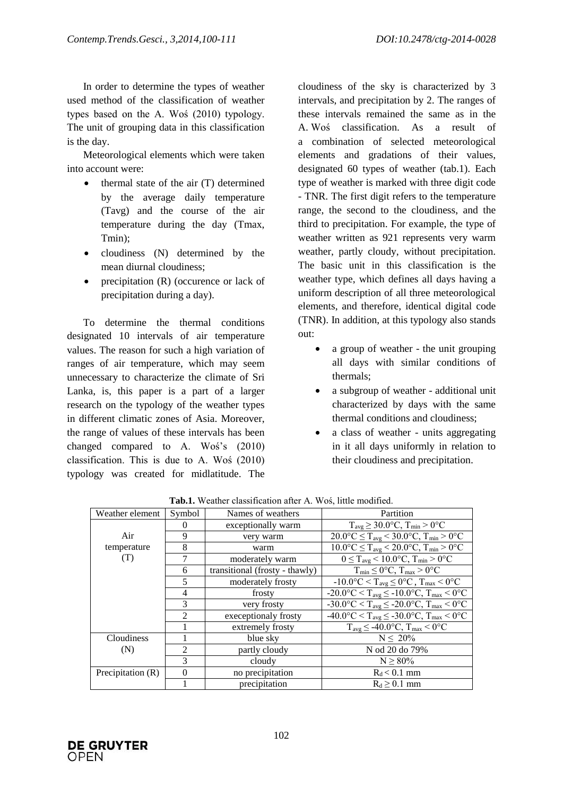In order to determine the types of weather used method of the classification of weather types based on the A. Woś (2010) typology. The unit of grouping data in this classification is the day.

Meteorological elements which were taken into account were:

- thermal state of the air (T) determined by the average daily temperature (Tavg) and the course of the air temperature during the day (Tmax, Tmin);
- cloudiness (N) determined by the mean diurnal cloudiness;
- precipitation (R) (occurence or lack of precipitation during a day).

To determine the thermal conditions designated 10 intervals of air temperature values. The reason for such a high variation of ranges of air temperature, which may seem unnecessary to characterize the climate of Sri Lanka, is, this paper is a part of a larger research on the typology of the weather types in different climatic zones of Asia. Moreover, the range of values of these intervals has been changed compared to A. Woś's (2010) classification. This is due to A. Woś (2010) typology was created for midlatitude. The

cloudiness of the sky is characterized by 3 intervals, and precipitation by 2. The ranges of these intervals remained the same as in the A. Woś classification. As a result of a combination of selected meteorological elements and gradations of their values, designated 60 types of weather (tab.1). Each type of weather is marked with three digit code - TNR. The first digit refers to the temperature range, the second to the cloudiness, and the third to precipitation. For example, the type of weather written as 921 represents very warm weather, partly cloudy, without precipitation. The basic unit in this classification is the weather type, which defines all days having a uniform description of all three meteorological elements, and therefore, identical digital code (TNR). In addition, at this typology also stands out:

- a group of weather the unit grouping all days with similar conditions of thermals;
- a subgroup of weather additional unit characterized by days with the same thermal conditions and cloudiness;
- a class of weather units aggregating in it all days uniformly in relation to their cloudiness and precipitation.

| Weather element     | Symbol                              | Names of weathers    | Partition                                                             |
|---------------------|-------------------------------------|----------------------|-----------------------------------------------------------------------|
|                     | $\Omega$                            | exceptionally warm   | $T_{avg} \geq 30.0$ °C, $T_{min} > 0$ °C                              |
| Air                 | 9                                   | very warm            | $20.0$ °C $\leq T_{avg}$ < 30.0°C, $T_{min}$ > 0°C                    |
| temperature         | 8                                   | warm                 | $10.0$ °C $\leq T_{avg}$ < 20.0°C, $T_{min}$ > 0°C                    |
| (T)                 | 7<br>moderately warm                |                      | $0 \le T_{avg} < 10.0$ °C, $T_{min} > 0$ °C                           |
|                     | transitional (frosty - thawly)<br>6 |                      | $T_{min} \leq 0$ °C, $T_{max} > 0$ °C                                 |
|                     | 5                                   | moderately frosty    | $-10.0$ °C < T <sub>avg</sub> $\leq 0$ °C, T <sub>max</sub> < 0°C     |
|                     | 4                                   | frosty               | $-20.0$ °C < T <sub>avg</sub> $\leq -10.0$ °C, T <sub>max</sub> < 0°C |
| 3                   |                                     | very frosty          | $-30.0$ °C < T <sub>avg</sub> $\leq -20.0$ °C, T <sub>max</sub> < 0°C |
|                     | $\mathcal{D}_{\mathcal{L}}$         | execeptionaly frosty | $-40.0$ °C < T <sub>avg</sub> $\leq$ -30.0°C, T <sub>max</sub> < 0°C  |
|                     |                                     | extremely frosty     | $T_{avg} \leq -40.0$ °C, $T_{max} < 0$ °C                             |
| Cloudiness          |                                     | blue sky             | $N \leq 20\%$                                                         |
| (N)                 | 2                                   | partly cloudy        | N od 20 do 79%                                                        |
|                     | $\mathcal{R}$                       | cloudy               | $N \geq 80\%$                                                         |
| Precipitation $(R)$ | $\Omega$                            | no precipitation     | $R_d < 0.1$ mm                                                        |
|                     |                                     | precipitation        | $R_d \geq 0.1$ mm                                                     |

**Tab.1.** Weather classification after A. Woś, little modified.

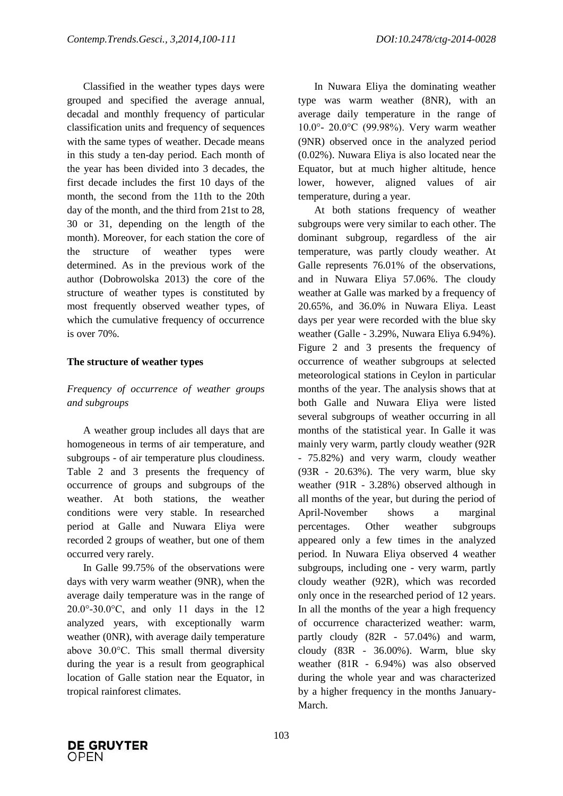Classified in the weather types days were grouped and specified the average annual, decadal and monthly frequency of particular classification units and frequency of sequences with the same types of weather. Decade means in this study a ten-day period. Each month of the year has been divided into 3 decades, the first decade includes the first 10 days of the month, the second from the 11th to the 20th day of the month, and the third from 21st to 28, 30 or 31, depending on the length of the month). Moreover, for each station the core of the structure of weather types were determined. As in the previous work of the author (Dobrowolska 2013) the core of the structure of weather types is constituted by most frequently observed weather types, of which the cumulative frequency of occurrence is over 70%.

### **The structure of weather types**

# *Frequency of occurrence of weather groups and subgroups*

A weather group includes all days that are homogeneous in terms of air temperature, and subgroups - of air temperature plus cloudiness. Table 2 and 3 presents the frequency of occurrence of groups and subgroups of the weather. At both stations, the weather conditions were very stable. In researched period at Galle and Nuwara Eliya were recorded 2 groups of weather, but one of them occurred very rarely.

In Galle 99.75% of the observations were days with very warm weather (9NR), when the average daily temperature was in the range of  $20.0^{\circ}$ -30.0°C, and only 11 days in the 12 analyzed years, with exceptionally warm weather (0NR), with average daily temperature above 30.0°C. This small thermal diversity during the year is a result from geographical location of Galle station near the Equator, in tropical rainforest climates.

In Nuwara Eliya the dominating weather type was warm weather (8NR), with an average daily temperature in the range of 10.0°- 20.0°C (99.98%). Very warm weather (9NR) observed once in the analyzed period (0.02%). Nuwara Eliya is also located near the Equator, but at much higher altitude, hence lower, however, aligned values of air temperature, during a year.

At both stations frequency of weather subgroups were very similar to each other. The dominant subgroup, regardless of the air temperature, was partly cloudy weather. At Galle represents 76.01% of the observations, and in Nuwara Eliya 57.06%. The cloudy weather at Galle was marked by a frequency of 20.65%, and 36.0% in Nuwara Eliya. Least days per year were recorded with the blue sky weather (Galle - 3.29%, Nuwara Eliya 6.94%). Figure 2 and 3 presents the frequency of occurrence of weather subgroups at selected meteorological stations in Ceylon in particular months of the year. The analysis shows that at both Galle and Nuwara Eliya were listed several subgroups of weather occurring in all months of the statistical year. In Galle it was mainly very warm, partly cloudy weather (92R - 75.82%) and very warm, cloudy weather  $(93R - 20.63\%)$ . The very warm, blue sky weather (91R - 3.28%) observed although in all months of the year, but during the period of April-November shows a marginal percentages. Other weather subgroups appeared only a few times in the analyzed period. In Nuwara Eliya observed 4 weather subgroups, including one - very warm, partly cloudy weather (92R), which was recorded only once in the researched period of 12 years. In all the months of the year a high frequency of occurrence characterized weather: warm, partly cloudy (82R - 57.04%) and warm, cloudy (83R - 36.00%). Warm, blue sky weather (81R - 6.94%) was also observed during the whole year and was characterized by a higher frequency in the months January-March.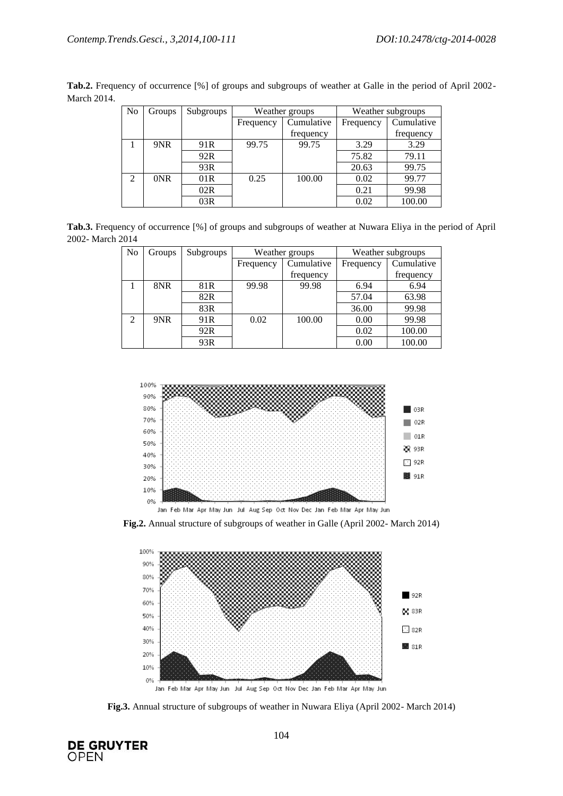| No             | Groups          | Subgroups       |           | Weather groups | Weather subgroups |            |  |
|----------------|-----------------|-----------------|-----------|----------------|-------------------|------------|--|
|                |                 |                 | Frequency | Cumulative     | Frequency         | Cumulative |  |
|                |                 |                 |           | frequency      |                   | frequency  |  |
|                | 9NR             | 91 <sub>R</sub> | 99.75     | 99.75          | 3.29              | 3.29       |  |
|                |                 | 92R             |           |                | 75.82             | 79.11      |  |
|                |                 | 93R             |           |                | 20.63             | 99.75      |  |
| $\overline{2}$ | 0 <sub>NR</sub> | 01R             | 0.25      | 100.00         | 0.02              | 99.77      |  |
|                |                 | 02R             |           |                | 0.21              | 99.98      |  |
|                |                 | 03R             |           |                | 0.02              | 100.00     |  |

**Tab.2.** Frequency of occurrence [%] of groups and subgroups of weather at Galle in the period of April 2002- March 2014.

**Tab.3.** Frequency of occurrence [%] of groups and subgroups of weather at Nuwara Eliya in the period of April 2002- March 2014

| N <sub>0</sub> | Groups | Subgroups       |           | Weather groups | Weather subgroups |            |  |
|----------------|--------|-----------------|-----------|----------------|-------------------|------------|--|
|                |        |                 | Frequency | Cumulative     | Frequency         | Cumulative |  |
|                |        |                 |           | frequency      |                   | frequency  |  |
|                | 8NR    | 81 <sub>R</sub> | 99.98     | 99.98          | 6.94              | 6.94       |  |
|                |        | 82R             |           |                | 57.04             | 63.98      |  |
|                |        | 83R             |           |                | 36.00             | 99.98      |  |
| 2              | 9NR    | 91 <sub>R</sub> | 0.02      | 100.00         | 0.00              | 99.98      |  |
|                |        | 92R             |           |                | 0.02              | 100.00     |  |
|                |        | 93R             |           |                | 0.00              | 100.00     |  |



Jan Feb Mar Apr May Jun Jul Aug Sep Oct Nov Dec Jan Feb Mar Apr May Jun

**Fig.2.** Annual structure of subgroups of weather in Galle (April 2002- March 2014)



Jan Feb Mar Apr May Jun Jul Aug Sep Oct Nov Dec Jan Feb Mar Apr May Jun

**Fig.3.** Annual structure of subgroups of weather in Nuwara Eliya (April 2002- March 2014)

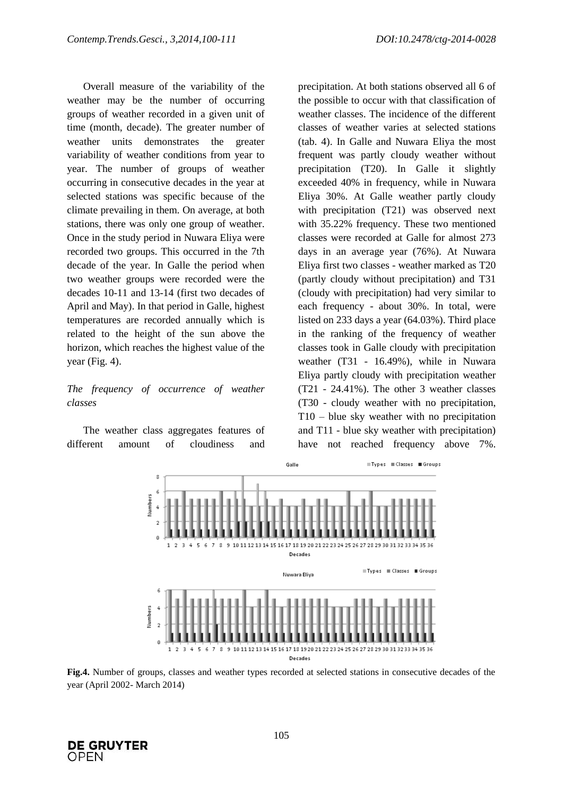Overall measure of the variability of the weather may be the number of occurring groups of weather recorded in a given unit of time (month, decade). The greater number of weather units demonstrates the greater variability of weather conditions from year to year. The number of groups of weather occurring in consecutive decades in the year at selected stations was specific because of the climate prevailing in them. On average, at both stations, there was only one group of weather. Once in the study period in Nuwara Eliya were recorded two groups. This occurred in the 7th decade of the year. In Galle the period when two weather groups were recorded were the decades 10-11 and 13-14 (first two decades of April and May). In that period in Galle, highest temperatures are recorded annually which is related to the height of the sun above the horizon, which reaches the highest value of the year (Fig. 4).

# *The frequency of occurrence of weather classes*

The weather class aggregates features of different amount of cloudiness and

precipitation. At both stations observed all 6 of the possible to occur with that classification of weather classes. The incidence of the different classes of weather varies at selected stations (tab. 4). In Galle and Nuwara Eliya the most frequent was partly cloudy weather without precipitation (T20). In Galle it slightly exceeded 40% in frequency, while in Nuwara Eliya 30%. At Galle weather partly cloudy with precipitation (T21) was observed next with 35.22% frequency. These two mentioned classes were recorded at Galle for almost 273 days in an average year (76%). At Nuwara Eliya first two classes - weather marked as T20 (partly cloudy without precipitation) and T31 (cloudy with precipitation) had very similar to each frequency - about 30%. In total, were listed on 233 days a year (64.03%). Third place in the ranking of the frequency of weather classes took in Galle cloudy with precipitation weather (T31 - 16.49%), while in Nuwara Eliya partly cloudy with precipitation weather (T21 - 24.41%). The other 3 weather classes (T30 - cloudy weather with no precipitation, T10 – blue sky weather with no precipitation and T11 - blue sky weather with precipitation) have not reached frequency above 7%.



**Fig.4.** Number of groups, classes and weather types recorded at selected stations in consecutive decades of the year (April 2002- March 2014)

**DE GRUYTER OPEN**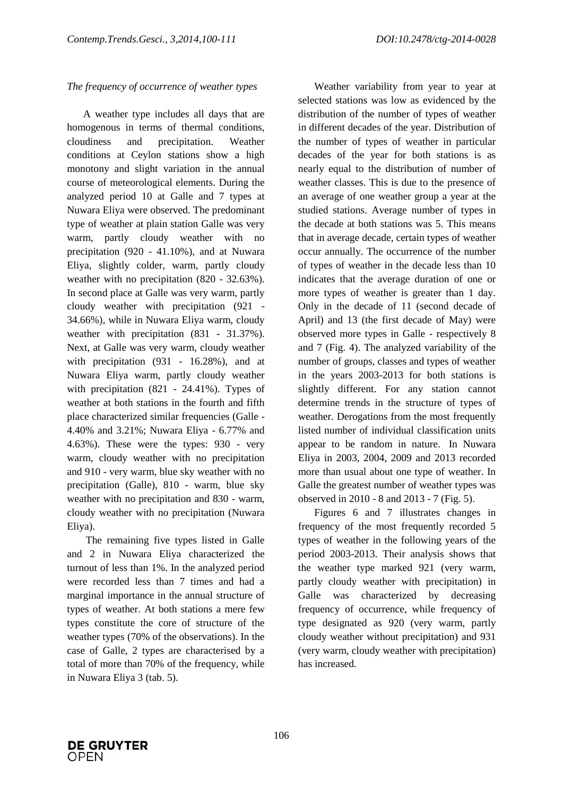## *The frequency of occurrence of weather types*

A weather type includes all days that are homogenous in terms of thermal conditions, cloudiness and precipitation. Weather conditions at Ceylon stations show a high monotony and slight variation in the annual course of meteorological elements. During the analyzed period 10 at Galle and 7 types at Nuwara Eliya were observed. The predominant type of weather at plain station Galle was very warm, partly cloudy weather with no precipitation (920 - 41.10%), and at Nuwara Eliya, slightly colder, warm, partly cloudy weather with no precipitation (820 - 32.63%). In second place at Galle was very warm, partly cloudy weather with precipitation (921 - 34.66%), while in Nuwara Eliya warm, cloudy weather with precipitation (831 - 31.37%). Next, at Galle was very warm, cloudy weather with precipitation (931 - 16.28%), and at Nuwara Eliya warm, partly cloudy weather with precipitation (821 - 24.41%). Types of weather at both stations in the fourth and fifth place characterized similar frequencies (Galle - 4.40% and 3.21%; Nuwara Eliya - 6.77% and 4.63%). These were the types: 930 - very warm, cloudy weather with no precipitation and 910 - very warm, blue sky weather with no precipitation (Galle), 810 - warm, blue sky weather with no precipitation and 830 - warm, cloudy weather with no precipitation (Nuwara Eliya).

The remaining five types listed in Galle and 2 in Nuwara Eliya characterized the turnout of less than 1%. In the analyzed period were recorded less than 7 times and had a marginal importance in the annual structure of types of weather. At both stations a mere few types constitute the core of structure of the weather types (70% of the observations). In the case of Galle, 2 types are characterised by a total of more than 70% of the frequency, while in Nuwara Eliya 3 (tab. 5).

Weather variability from year to year at selected stations was low as evidenced by the distribution of the number of types of weather in different decades of the year. Distribution of the number of types of weather in particular decades of the year for both stations is as nearly equal to the distribution of number of weather classes. This is due to the presence of an average of one weather group a year at the studied stations. Average number of types in the decade at both stations was 5. This means that in average decade, certain types of weather occur annually. The occurrence of the number of types of weather in the decade less than 10 indicates that the average duration of one or more types of weather is greater than 1 day. Only in the decade of 11 (second decade of April) and 13 (the first decade of May) were observed more types in Galle - respectively 8 and 7 (Fig. 4). The analyzed variability of the number of groups, classes and types of weather in the years 2003-2013 for both stations is slightly different. For any station cannot determine trends in the structure of types of weather. Derogations from the most frequently listed number of individual classification units appear to be random in nature. In Nuwara Eliya in 2003, 2004, 2009 and 2013 recorded more than usual about one type of weather. In Galle the greatest number of weather types was observed in 2010 - 8 and 2013 - 7 (Fig. 5).

Figures 6 and 7 illustrates changes in frequency of the most frequently recorded 5 types of weather in the following years of the period 2003-2013. Their analysis shows that the weather type marked 921 (very warm, partly cloudy weather with precipitation) in Galle was characterized by decreasing frequency of occurrence, while frequency of type designated as 920 (very warm, partly cloudy weather without precipitation) and 931 (very warm, cloudy weather with precipitation) has increased.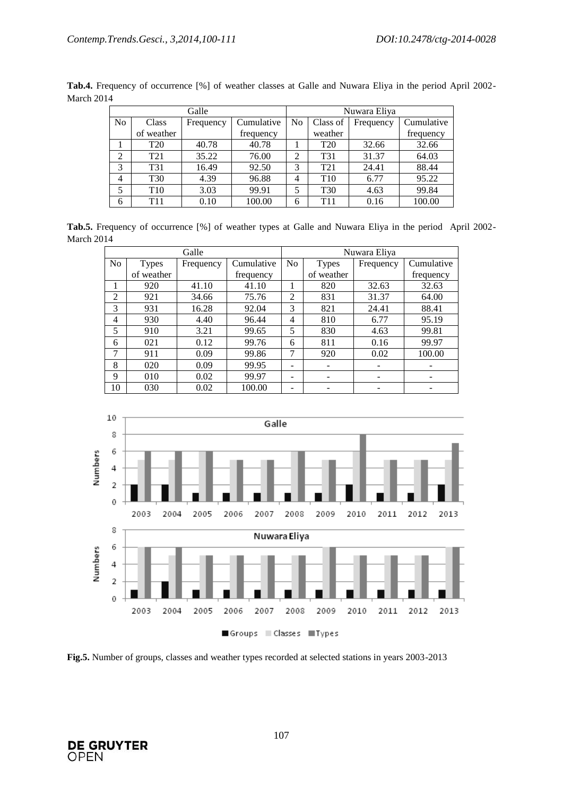| Galle          |                 |           |            |    | Nuwara Eliya    |           |            |  |  |  |
|----------------|-----------------|-----------|------------|----|-----------------|-----------|------------|--|--|--|
| N <sub>0</sub> | Class           | Frequency | Cumulative | No | Class of        | Frequency | Cumulative |  |  |  |
|                | of weather      |           | frequency  |    | weather         |           | frequency  |  |  |  |
|                | T <sub>20</sub> | 40.78     | 40.78      |    | T <sub>20</sub> | 32.66     | 32.66      |  |  |  |
| 2              | T <sub>21</sub> | 35.22     | 76.00      | っ  | T31             | 31.37     | 64.03      |  |  |  |
| 3              | T31             | 16.49     | 92.50      | 3  | T <sub>21</sub> | 24.41     | 88.44      |  |  |  |
| $\overline{4}$ | T <sub>30</sub> | 4.39      | 96.88      | 4  | T <sub>10</sub> | 6.77      | 95.22      |  |  |  |
| 5              | T <sub>10</sub> | 3.03      | 99.91      |    | T <sub>30</sub> | 4.63      | 99.84      |  |  |  |
| 6              | T <sub>11</sub> | 0.10      | 100.00     | 6  | T <sub>11</sub> | 0.16      | 100.00     |  |  |  |

**Tab.4.** Frequency of occurrence [%] of weather classes at Galle and Nuwara Eliya in the period April 2002- March 2014

|            | <b>Tab.5.</b> Frequency of occurrence [%] of weather types at Galle and Nuwara Eliya in the period April 2002- |  |  |  |  |  |  |
|------------|----------------------------------------------------------------------------------------------------------------|--|--|--|--|--|--|
| March 2014 |                                                                                                                |  |  |  |  |  |  |

| Galle          |              |           |            |     | Nuwara Eliya |           |            |  |  |  |
|----------------|--------------|-----------|------------|-----|--------------|-----------|------------|--|--|--|
| N <sub>o</sub> | <b>Types</b> | Frequency | Cumulative | No. | <b>Types</b> | Frequency | Cumulative |  |  |  |
|                | of weather   |           | frequency  |     | of weather   |           | frequency  |  |  |  |
|                | 920          | 41.10     | 41.10      |     | 820          | 32.63     | 32.63      |  |  |  |
| $\overline{2}$ | 921          | 34.66     | 75.76      | 2   | 831          | 31.37     | 64.00      |  |  |  |
| 3              | 931          | 16.28     | 92.04      | 3   | 821          | 24.41     | 88.41      |  |  |  |
| 4              | 930          | 4.40      | 96.44      | 4   | 810          | 6.77      | 95.19      |  |  |  |
| 5              | 910          | 3.21      | 99.65      | 5   | 830          | 4.63      | 99.81      |  |  |  |
| 6              | 021          | 0.12      | 99.76      | 6   | 811          | 0.16      | 99.97      |  |  |  |
| 7              | 911          | 0.09      | 99.86      | 7   | 920          | 0.02      | 100.00     |  |  |  |
| 8              | 020          | 0.09      | 99.95      |     | -            |           |            |  |  |  |
| 9              | 010          | 0.02      | 99.97      |     |              |           |            |  |  |  |
| 10             | 030          | 0.02      | 100.00     |     |              |           |            |  |  |  |



**Fig.5.** Number of groups, classes and weather types recorded at selected stations in years 2003-2013

**DE GRUYTER OPEN**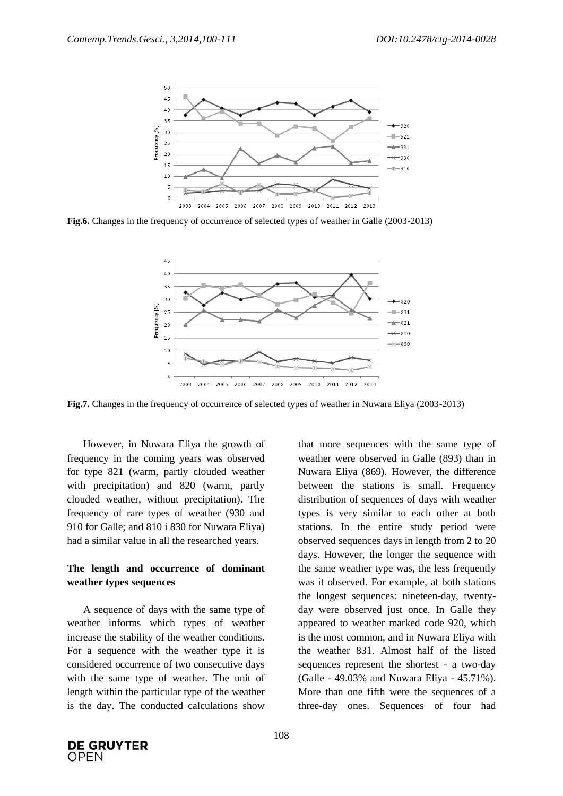

**Fig.6.** Changes in the frequency of occurrence of selected types of weather in Galle (2003-2013)



**Fig.7.** Changes in the frequency of occurrence of selected types of weather in Nuwara Eliya (2003-2013)

However, in Nuwara Eliya the growth of frequency in the coming years was observed for type 821 (warm, partly clouded weather with precipitation) and 820 (warm, partly clouded weather, without precipitation). The frequency of rare types of weather (930 and 910 for Galle; and 810 i 830 for Nuwara Eliya) had a similar value in all the researched years.

## **The length and occurrence of dominant weather types sequences**

A sequence of days with the same type of weather informs which types of weather increase the stability of the weather conditions. For a sequence with the weather type it is considered occurrence of two consecutive days with the same type of weather. The unit of length within the particular type of the weather is the day. The conducted calculations show

that more sequences with the same type of weather were observed in Galle (893) than in Nuwara Eliya (869). However, the difference between the stations is small. Frequency distribution of sequences of days with weather types is very similar to each other at both stations. In the entire study period were observed sequences days in length from 2 to 20 days. However, the longer the sequence with the same weather type was, the less frequently was it observed. For example, at both stations the longest sequences: nineteen-day, twentyday were observed just once. In Galle they appeared to weather marked code 920, which is the most common, and in Nuwara Eliya with the weather 831. Almost half of the listed sequences represent the shortest - a two-day (Galle - 49.03% and Nuwara Eliya - 45.71%). More than one fifth were the sequences of a three-day ones. Sequences of four had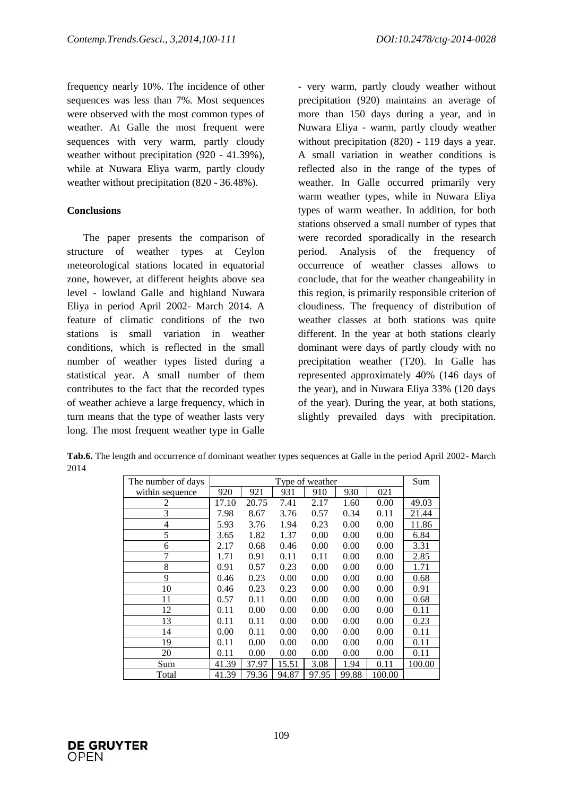frequency nearly 10%. The incidence of other sequences was less than 7%. Most sequences were observed with the most common types of weather. At Galle the most frequent were sequences with very warm, partly cloudy weather without precipitation (920 - 41.39%), while at Nuwara Eliya warm, partly cloudy weather without precipitation (820 - 36.48%).

#### **Conclusions**

The paper presents the comparison of structure of weather types at Ceylon meteorological stations located in equatorial zone, however, at different heights above sea level - lowland Galle and highland Nuwara Eliya in period April 2002- March 2014. A feature of climatic conditions of the two stations is small variation in weather conditions, which is reflected in the small number of weather types listed during a statistical year. A small number of them contributes to the fact that the recorded types of weather achieve a large frequency, which in turn means that the type of weather lasts very long. The most frequent weather type in Galle

- very warm, partly cloudy weather without precipitation (920) maintains an average of more than 150 days during a year, and in Nuwara Eliya - warm, partly cloudy weather without precipitation (820) - 119 days a year. A small variation in weather conditions is reflected also in the range of the types of weather. In Galle occurred primarily very warm weather types, while in Nuwara Eliya types of warm weather. In addition, for both stations observed a small number of types that were recorded sporadically in the research period. Analysis of the frequency of occurrence of weather classes allows to conclude, that for the weather changeability in this region, is primarily responsible criterion of cloudiness. The frequency of distribution of weather classes at both stations was quite different. In the year at both stations clearly dominant were days of partly cloudy with no precipitation weather (T20). In Galle has represented approximately 40% (146 days of the year), and in Nuwara Eliya 33% (120 days of the year). During the year, at both stations, slightly prevailed days with precipitation.

**Tab.6.** The length and occurrence of dominant weather types sequences at Galle in the period April 2002- March 2014

| The number of days |       | Type of weather |       |       |       |        |        |  |  |
|--------------------|-------|-----------------|-------|-------|-------|--------|--------|--|--|
| within sequence    | 920   | 921             | 931   | 910   | 930   | 021    |        |  |  |
| 2                  | 17.10 | 20.75           | 7.41  | 2.17  | 1.60  | 0.00   | 49.03  |  |  |
| 3                  | 7.98  | 8.67            | 3.76  | 0.57  | 0.34  | 0.11   | 21.44  |  |  |
| $\overline{4}$     | 5.93  | 3.76            | 1.94  | 0.23  | 0.00  | 0.00   | 11.86  |  |  |
| 5                  | 3.65  | 1.82            | 1.37  | 0.00  | 0.00  | 0.00   | 6.84   |  |  |
| 6                  | 2.17  | 0.68            | 0.46  | 0.00  | 0.00  | 0.00   | 3.31   |  |  |
| 7                  | 1.71  | 0.91            | 0.11  | 0.11  | 0.00  | 0.00   | 2.85   |  |  |
| 8                  | 0.91  | 0.57            | 0.23  | 0.00  | 0.00  | 0.00   | 1.71   |  |  |
| 9                  | 0.46  | 0.23            | 0.00  | 0.00  | 0.00  | 0.00   | 0.68   |  |  |
| 10                 | 0.46  | 0.23            | 0.23  | 0.00  | 0.00  | 0.00   | 0.91   |  |  |
| 11                 | 0.57  | 0.11            | 0.00  | 0.00  | 0.00  | 0.00   | 0.68   |  |  |
| 12                 | 0.11  | 0.00            | 0.00  | 0.00  | 0.00  | 0.00   | 0.11   |  |  |
| 13                 | 0.11  | 0.11            | 0.00  | 0.00  | 0.00  | 0.00   | 0.23   |  |  |
| 14                 | 0.00  | 0.11            | 0.00  | 0.00  | 0.00  | 0.00   | 0.11   |  |  |
| 19                 | 0.11  | 0.00            | 0.00  | 0.00  | 0.00  | 0.00   | 0.11   |  |  |
| 20                 | 0.11  | 0.00            | 0.00  | 0.00  | 0.00  | 0.00   | 0.11   |  |  |
| Sum                | 41.39 | 37.97           | 15.51 | 3.08  | 1.94  | 0.11   | 100.00 |  |  |
| Total              | 41.39 | 79.36           | 94.87 | 97.95 | 99.88 | 100.00 |        |  |  |

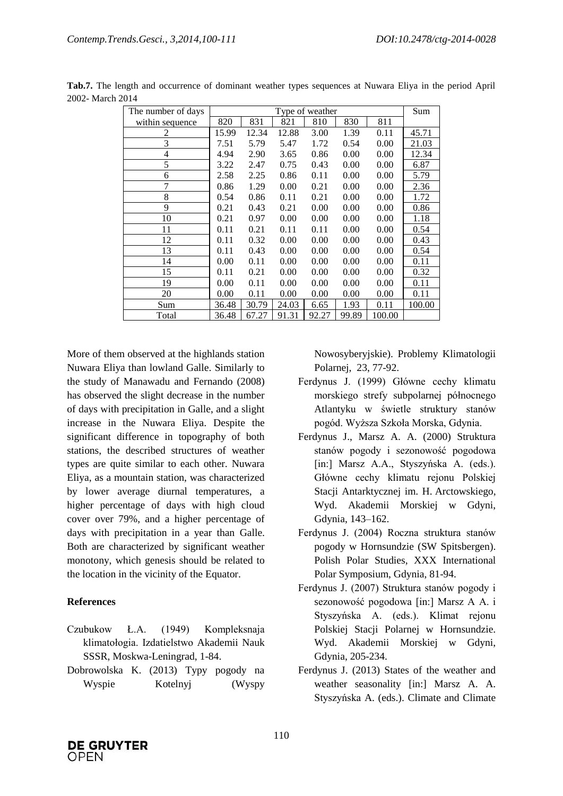| The number of days       |       | Type of weather |       |       |       |        |        |  |  |
|--------------------------|-------|-----------------|-------|-------|-------|--------|--------|--|--|
| within sequence          | 820   | 831             | 821   | 810   | 830   | 811    |        |  |  |
| 2                        | 15.99 | 12.34           | 12.88 | 3.00  | 1.39  | 0.11   | 45.71  |  |  |
| 3                        | 7.51  | 5.79            | 5.47  | 1.72  | 0.54  | 0.00   | 21.03  |  |  |
| $\overline{\mathcal{L}}$ | 4.94  | 2.90            | 3.65  | 0.86  | 0.00  | 0.00   | 12.34  |  |  |
| 5                        | 3.22  | 2.47            | 0.75  | 0.43  | 0.00  | 0.00   | 6.87   |  |  |
| 6                        | 2.58  | 2.25            | 0.86  | 0.11  | 0.00  | 0.00   | 5.79   |  |  |
| 7                        | 0.86  | 1.29            | 0.00  | 0.21  | 0.00  | 0.00   | 2.36   |  |  |
| 8                        | 0.54  | 0.86            | 0.11  | 0.21  | 0.00  | 0.00   | 1.72   |  |  |
| 9                        | 0.21  | 0.43            | 0.21  | 0.00  | 0.00  | 0.00   | 0.86   |  |  |
| 10                       | 0.21  | 0.97            | 0.00  | 0.00  | 0.00  | 0.00   | 1.18   |  |  |
| 11                       | 0.11  | 0.21            | 0.11  | 0.11  | 0.00  | 0.00   | 0.54   |  |  |
| 12                       | 0.11  | 0.32            | 0.00  | 0.00  | 0.00  | 0.00   | 0.43   |  |  |
| 13                       | 0.11  | 0.43            | 0.00  | 0.00  | 0.00  | 0.00   | 0.54   |  |  |
| 14                       | 0.00  | 0.11            | 0.00  | 0.00  | 0.00  | 0.00   | 0.11   |  |  |
| 15                       | 0.11  | 0.21            | 0.00  | 0.00  | 0.00  | 0.00   | 0.32   |  |  |
| 19                       | 0.00  | 0.11            | 0.00  | 0.00  | 0.00  | 0.00   | 0.11   |  |  |
| 20                       | 0.00  | 0.11            | 0.00  | 0.00  | 0.00  | 0.00   | 0.11   |  |  |
| Sum                      | 36.48 | 30.79           | 24.03 | 6.65  | 1.93  | 0.11   | 100.00 |  |  |
| Total                    | 36.48 | 67.27           | 91.31 | 92.27 | 99.89 | 100.00 |        |  |  |

**Tab.7.** The length and occurrence of dominant weather types sequences at Nuwara Eliya in the period April 2002- March 2014

More of them observed at the highlands station Nuwara Eliya than lowland Galle. Similarly to the study of Manawadu and Fernando (2008) has observed the slight decrease in the number of days with precipitation in Galle, and a slight increase in the Nuwara Eliya. Despite the significant difference in topography of both stations, the described structures of weather types are quite similar to each other. Nuwara Eliya, as a mountain station, was characterized by lower average diurnal temperatures, a higher percentage of days with high cloud cover over 79%, and a higher percentage of days with precipitation in a year than Galle. Both are characterized by significant weather monotony, which genesis should be related to the location in the vicinity of the Equator.

# **References**

- Czubukow Ł.A. (1949) Kompleksnaja klimatołogia. Izdatielstwo Akademii Nauk SSSR, Moskwa-Leningrad, 1-84.
- Dobrowolska K. (2013) Typy pogody na Wyspie Kotelnyj (Wyspy

Nowosyberyjskie). Problemy Klimatologii Polarnej, 23, 77-92.

- Ferdynus J. (1999) Główne cechy klimatu morskiego strefy subpolarnej północnego Atlantyku w świetle struktury stanów pogód. Wyższa Szkoła Morska, Gdynia.
- Ferdynus J., Marsz A. A. (2000) Struktura stanów pogody i sezonowość pogodowa [in:] Marsz A.A., Styszyńska A. (eds.). Główne cechy klimatu rejonu Polskiej Stacji Antarktycznej im. H. Arctowskiego, Wyd. Akademii Morskiej w Gdyni, Gdynia, 143–162.
- Ferdynus J. (2004) Roczna struktura stanów pogody w Hornsundzie (SW Spitsbergen). Polish Polar Studies, XXX International Polar Symposium, Gdynia, 81-94.
- Ferdynus J. (2007) Struktura stanów pogody i sezonowość pogodowa [in:] Marsz A A. i Styszyńska A. (eds.). Klimat rejonu Polskiej Stacji Polarnej w Hornsundzie. Wyd. Akademii Morskiej w Gdyni, Gdynia, 205-234.
- Ferdynus J. (2013) States of the weather and weather seasonality [in:] Marsz A. A. Styszyńska A. (eds.). Climate and Climate